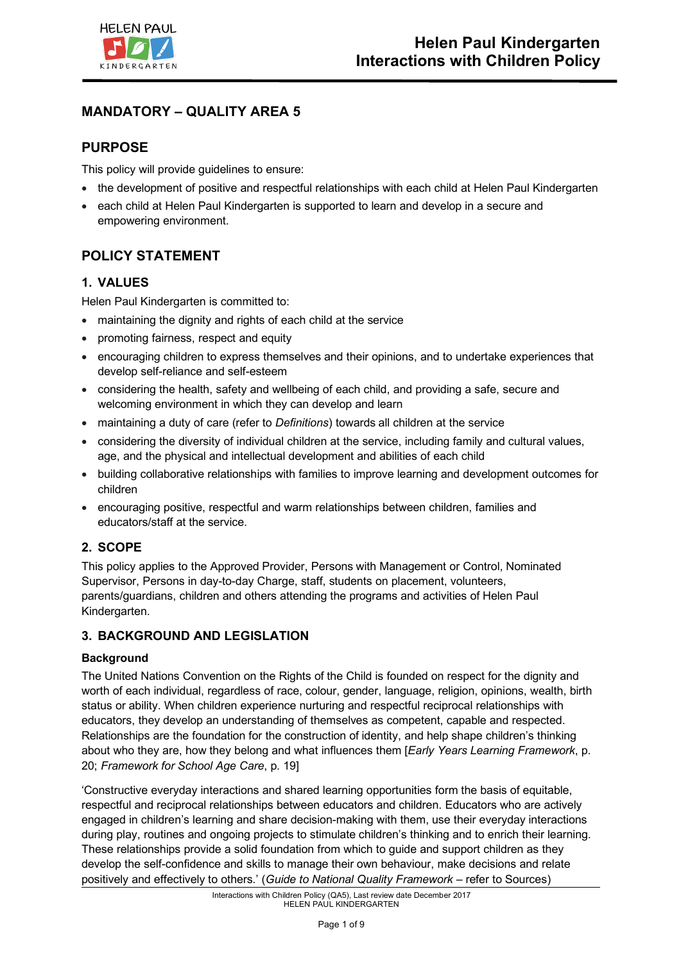

# **MANDATORY – QUALITY AREA 5**

# **PURPOSE**

This policy will provide guidelines to ensure:

- the development of positive and respectful relationships with each child at Helen Paul Kindergarten
- each child at Helen Paul Kindergarten is supported to learn and develop in a secure and empowering environment.

# **POLICY STATEMENT**

## **1. VALUES**

Helen Paul Kindergarten is committed to:

- maintaining the dignity and rights of each child at the service
- promoting fairness, respect and equity
- encouraging children to express themselves and their opinions, and to undertake experiences that develop self-reliance and self-esteem
- considering the health, safety and wellbeing of each child, and providing a safe, secure and welcoming environment in which they can develop and learn
- maintaining a duty of care (refer to *Definitions*) towards all children at the service
- considering the diversity of individual children at the service, including family and cultural values, age, and the physical and intellectual development and abilities of each child
- building collaborative relationships with families to improve learning and development outcomes for children
- encouraging positive, respectful and warm relationships between children, families and educators/staff at the service.

## **2. SCOPE**

This policy applies to the Approved Provider, Persons with Management or Control, Nominated Supervisor, Persons in day-to-day Charge, staff, students on placement, volunteers, parents/guardians, children and others attending the programs and activities of Helen Paul Kindergarten.

### **3. BACKGROUND AND LEGISLATION**

### **Background**

The United Nations Convention on the Rights of the Child is founded on respect for the dignity and worth of each individual, regardless of race, colour, gender, language, religion, opinions, wealth, birth status or ability. When children experience nurturing and respectful reciprocal relationships with educators, they develop an understanding of themselves as competent, capable and respected. Relationships are the foundation for the construction of identity, and help shape children's thinking about who they are, how they belong and what influences them [*Early Years Learning Framework*, p. 20; *Framework for School Age Care*, p. 19]

'Constructive everyday interactions and shared learning opportunities form the basis of equitable, respectful and reciprocal relationships between educators and children. Educators who are actively engaged in children's learning and share decision-making with them, use their everyday interactions during play, routines and ongoing projects to stimulate children's thinking and to enrich their learning. These relationships provide a solid foundation from which to guide and support children as they develop the self-confidence and skills to manage their own behaviour, make decisions and relate positively and effectively to others.' (*Guide to National Quality Framework* – refer to Sources)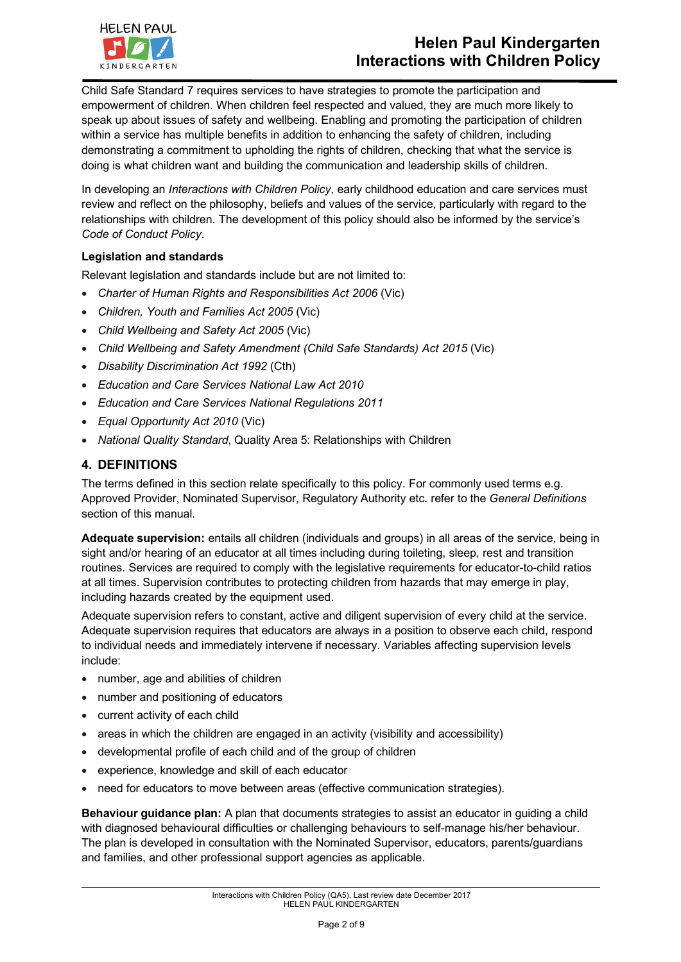

# **Helen Paul Kindergarten Interactions with Children Policy**

Child Safe Standard 7 requires services to have strategies to promote the participation and empowerment of children. When children feel respected and valued, they are much more likely to speak up about issues of safety and wellbeing. Enabling and promoting the participation of children within a service has multiple benefits in addition to enhancing the safety of children, including demonstrating a commitment to upholding the rights of children, checking that what the service is doing is what children want and building the communication and leadership skills of children.

In developing an *Interactions with Children Policy*, early childhood education and care services must review and reflect on the philosophy, beliefs and values of the service, particularly with regard to the relationships with children. The development of this policy should also be informed by the service's *Code of Conduct Policy*.

### **Legislation and standards**

Relevant legislation and standards include but are not limited to:

- *Charter of Human Rights and Responsibilities Act 2006* (Vic)
- *Children, Youth and Families Act 2005* (Vic)
- *Child Wellbeing and Safety Act 2005* (Vic)
- *Child Wellbeing and Safety Amendment (Child Safe Standards) Act 2015* (Vic)
- *Disability Discrimination Act 1992* (Cth)
- *Education and Care Services National Law Act 2010*
- *Education and Care Services National Regulations 2011*
- *Equal Opportunity Act 2010* (Vic)
- *National Quality Standard*, Quality Area 5: Relationships with Children

### **4. DEFINITIONS**

The terms defined in this section relate specifically to this policy. For commonly used terms e.g. Approved Provider, Nominated Supervisor, Regulatory Authority etc. refer to the *General Definitions* section of this manual.

**Adequate supervision:** entails all children (individuals and groups) in all areas of the service, being in sight and/or hearing of an educator at all times including during toileting, sleep, rest and transition routines. Services are required to comply with the legislative requirements for educator-to-child ratios at all times. Supervision contributes to protecting children from hazards that may emerge in play, including hazards created by the equipment used.

Adequate supervision refers to constant, active and diligent supervision of every child at the service. Adequate supervision requires that educators are always in a position to observe each child, respond to individual needs and immediately intervene if necessary. Variables affecting supervision levels include:

- number, age and abilities of children
- number and positioning of educators
- current activity of each child
- areas in which the children are engaged in an activity (visibility and accessibility)
- developmental profile of each child and of the group of children
- experience, knowledge and skill of each educator
- need for educators to move between areas (effective communication strategies).

**Behaviour guidance plan:** A plan that documents strategies to assist an educator in guiding a child with diagnosed behavioural difficulties or challenging behaviours to self-manage his/her behaviour. The plan is developed in consultation with the Nominated Supervisor, educators, parents/guardians and families, and other professional support agencies as applicable.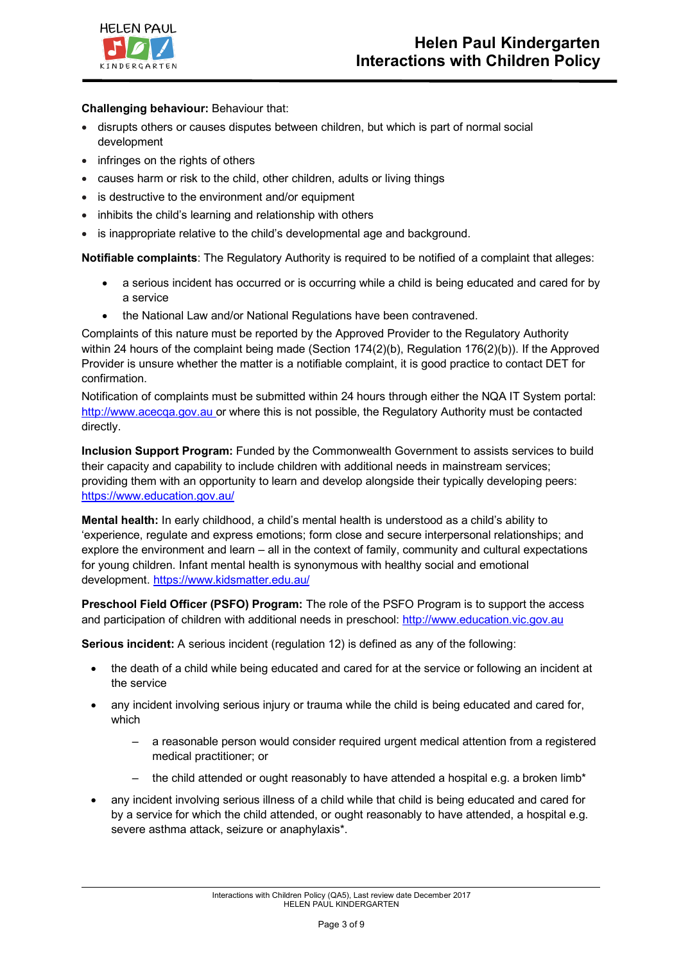

### **Challenging behaviour:** Behaviour that:

- disrupts others or causes disputes between children, but which is part of normal social development
- infringes on the rights of others
- causes harm or risk to the child, other children, adults or living things
- is destructive to the environment and/or equipment
- inhibits the child's learning and relationship with others
- is inappropriate relative to the child's developmental age and background.

**Notifiable complaints**: The Regulatory Authority is required to be notified of a complaint that alleges:

- a serious incident has occurred or is occurring while a child is being educated and cared for by a service
- the National Law and/or National Regulations have been contravened.

Complaints of this nature must be reported by the Approved Provider to the Regulatory Authority within 24 hours of the complaint being made (Section 174(2)(b), Regulation 176(2)(b)). If the Approved Provider is unsure whether the matter is a notifiable complaint, it is good practice to contact DET for confirmation.

Notification of complaints must be submitted within 24 hours through either the NQA IT System portal: http://www.acecqa.gov.au or where this is not possible, the Regulatory Authority must be contacted directly.

**Inclusion Support Program:** Funded by the Commonwealth Government to assists services to build their capacity and capability to include children with additional needs in mainstream services; providing them with an opportunity to learn and develop alongside their typically developing peers: https://www.education.gov.au/

**Mental health:** In early childhood, a child's mental health is understood as a child's ability to 'experience, regulate and express emotions; form close and secure interpersonal relationships; and explore the environment and learn – all in the context of family, community and cultural expectations for young children. Infant mental health is synonymous with healthy social and emotional development. https://www.kidsmatter.edu.au/

**Preschool Field Officer (PSFO) Program:** The role of the PSFO Program is to support the access and participation of children with additional needs in preschool: http://www.education.vic.gov.au

**Serious incident:** A serious incident (regulation 12) is defined as any of the following:

- the death of a child while being educated and cared for at the service or following an incident at the service
- any incident involving serious injury or trauma while the child is being educated and cared for, which
	- a reasonable person would consider required urgent medical attention from a registered medical practitioner; or
	- the child attended or ought reasonably to have attended a hospital e.g. a broken limb\*
- any incident involving serious illness of a child while that child is being educated and cared for by a service for which the child attended, or ought reasonably to have attended, a hospital e.g. severe asthma attack, seizure or anaphylaxis\*.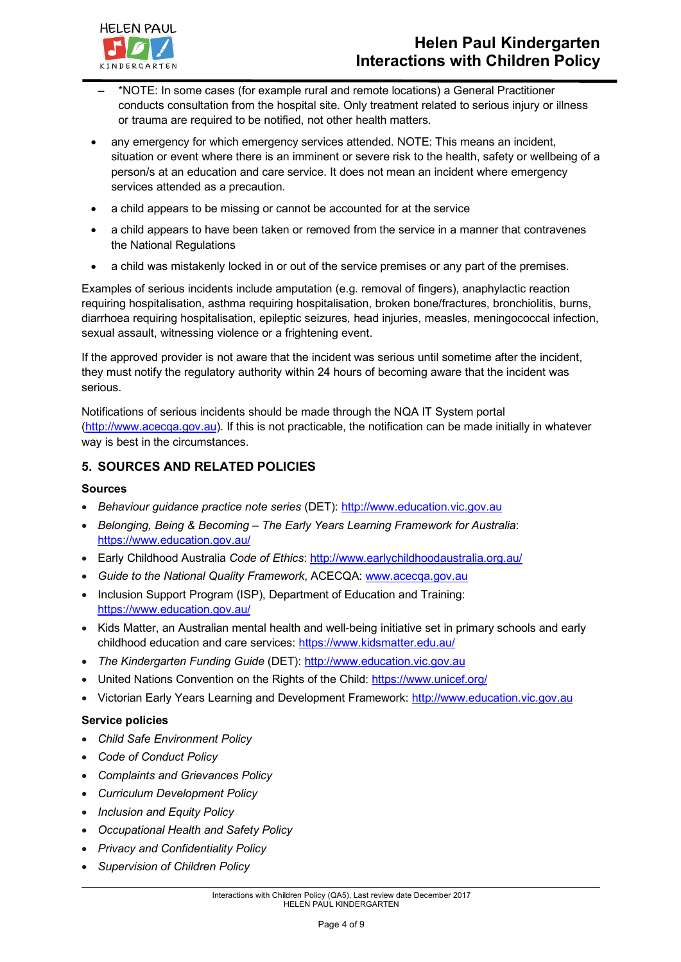

- \*NOTE: In some cases (for example rural and remote locations) a General Practitioner conducts consultation from the hospital site. Only treatment related to serious injury or illness or trauma are required to be notified, not other health matters.
- any emergency for which emergency services attended. NOTE: This means an incident, situation or event where there is an imminent or severe risk to the health, safety or wellbeing of a person/s at an education and care service. It does not mean an incident where emergency services attended as a precaution.
- a child appears to be missing or cannot be accounted for at the service
- a child appears to have been taken or removed from the service in a manner that contravenes the National Regulations
- a child was mistakenly locked in or out of the service premises or any part of the premises.

Examples of serious incidents include amputation (e.g. removal of fingers), anaphylactic reaction requiring hospitalisation, asthma requiring hospitalisation, broken bone/fractures, bronchiolitis, burns, diarrhoea requiring hospitalisation, epileptic seizures, head injuries, measles, meningococcal infection, sexual assault, witnessing violence or a frightening event.

If the approved provider is not aware that the incident was serious until sometime after the incident, they must notify the regulatory authority within 24 hours of becoming aware that the incident was serious.

Notifications of serious incidents should be made through the NQA IT System portal (http://www.acecqa.gov.au). If this is not practicable, the notification can be made initially in whatever way is best in the circumstances.

### **5. SOURCES AND RELATED POLICIES**

#### **Sources**

- *Behaviour guidance practice note series* (DET): http://www.education.vic.gov.au
- *Belonging, Being & Becoming – The Early Years Learning Framework for Australia*: https://www.education.gov.au/
- Early Childhood Australia *Code of Ethics*: http://www.earlychildhoodaustralia.org.au/
- *Guide to the National Quality Framework*, ACECQA: www.acecqa.gov.au
- Inclusion Support Program (ISP), Department of Education and Training: https://www.education.gov.au/
- Kids Matter, an Australian mental health and well-being initiative set in primary schools and early childhood education and care services: https://www.kidsmatter.edu.au/
- *The Kindergarten Funding Guide* (DET): http://www.education.vic.gov.au
- United Nations Convention on the Rights of the Child: https://www.unicef.org/
- Victorian Early Years Learning and Development Framework: http://www.education.vic.gov.au

#### **Service policies**

- *Child Safe Environment Policy*
- *Code of Conduct Policy*
- *Complaints and Grievances Policy*
- *Curriculum Development Policy*
- *Inclusion and Equity Policy*
- *Occupational Health and Safety Policy*
- *Privacy and Confidentiality Policy*
- *Supervision of Children Policy*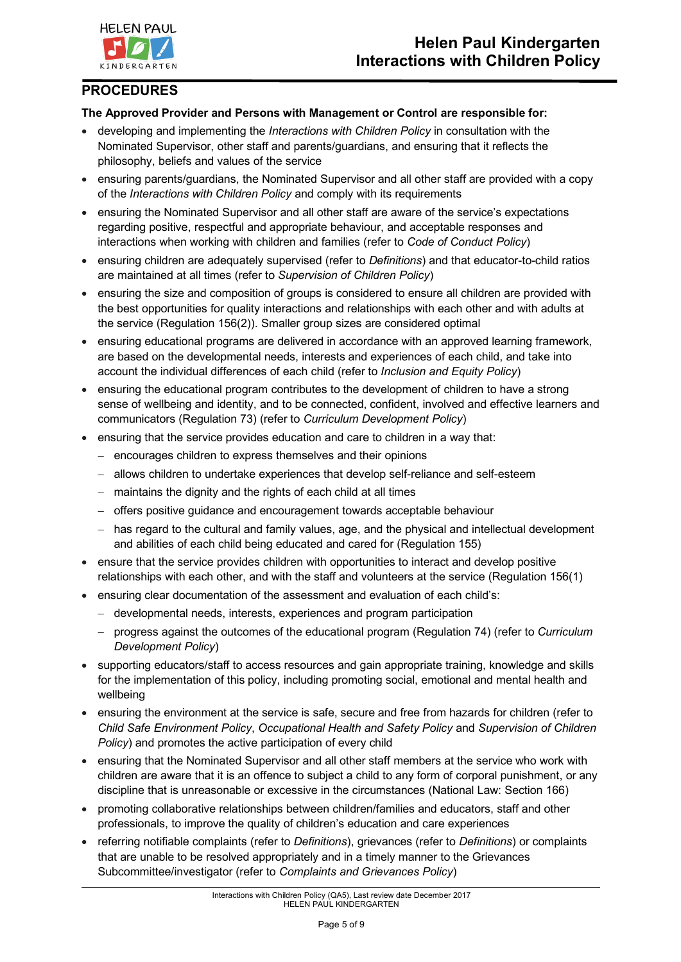

# **PROCEDURES**

### **The Approved Provider and Persons with Management or Control are responsible for:**

- developing and implementing the *Interactions with Children Policy* in consultation with the Nominated Supervisor, other staff and parents/guardians, and ensuring that it reflects the philosophy, beliefs and values of the service
- ensuring parents/guardians, the Nominated Supervisor and all other staff are provided with a copy of the *Interactions with Children Policy* and comply with its requirements
- ensuring the Nominated Supervisor and all other staff are aware of the service's expectations regarding positive, respectful and appropriate behaviour, and acceptable responses and interactions when working with children and families (refer to *Code of Conduct Policy*)
- ensuring children are adequately supervised (refer to *Definitions*) and that educator-to-child ratios are maintained at all times (refer to *Supervision of Children Policy*)
- ensuring the size and composition of groups is considered to ensure all children are provided with the best opportunities for quality interactions and relationships with each other and with adults at the service (Regulation 156(2)). Smaller group sizes are considered optimal
- ensuring educational programs are delivered in accordance with an approved learning framework, are based on the developmental needs, interests and experiences of each child, and take into account the individual differences of each child (refer to *Inclusion and Equity Policy*)
- ensuring the educational program contributes to the development of children to have a strong sense of wellbeing and identity, and to be connected, confident, involved and effective learners and communicators (Regulation 73) (refer to *Curriculum Development Policy*)
- ensuring that the service provides education and care to children in a way that:
	- encourages children to express themselves and their opinions
	- allows children to undertake experiences that develop self-reliance and self-esteem
	- maintains the dignity and the rights of each child at all times
	- offers positive guidance and encouragement towards acceptable behaviour
	- has regard to the cultural and family values, age, and the physical and intellectual development and abilities of each child being educated and cared for (Regulation 155)
- ensure that the service provides children with opportunities to interact and develop positive relationships with each other, and with the staff and volunteers at the service (Regulation 156(1)
- ensuring clear documentation of the assessment and evaluation of each child's:
	- developmental needs, interests, experiences and program participation
	- progress against the outcomes of the educational program (Regulation 74) (refer to *Curriculum Development Policy*)
- supporting educators/staff to access resources and gain appropriate training, knowledge and skills for the implementation of this policy, including promoting social, emotional and mental health and wellbeing
- ensuring the environment at the service is safe, secure and free from hazards for children (refer to *Child Safe Environment Policy*, *Occupational Health and Safety Policy* and *Supervision of Children Policy*) and promotes the active participation of every child
- ensuring that the Nominated Supervisor and all other staff members at the service who work with children are aware that it is an offence to subject a child to any form of corporal punishment, or any discipline that is unreasonable or excessive in the circumstances (National Law: Section 166)
- promoting collaborative relationships between children/families and educators, staff and other professionals, to improve the quality of children's education and care experiences
- referring notifiable complaints (refer to *Definitions*), grievances (refer to *Definitions*) or complaints that are unable to be resolved appropriately and in a timely manner to the Grievances Subcommittee/investigator (refer to *Complaints and Grievances Policy*)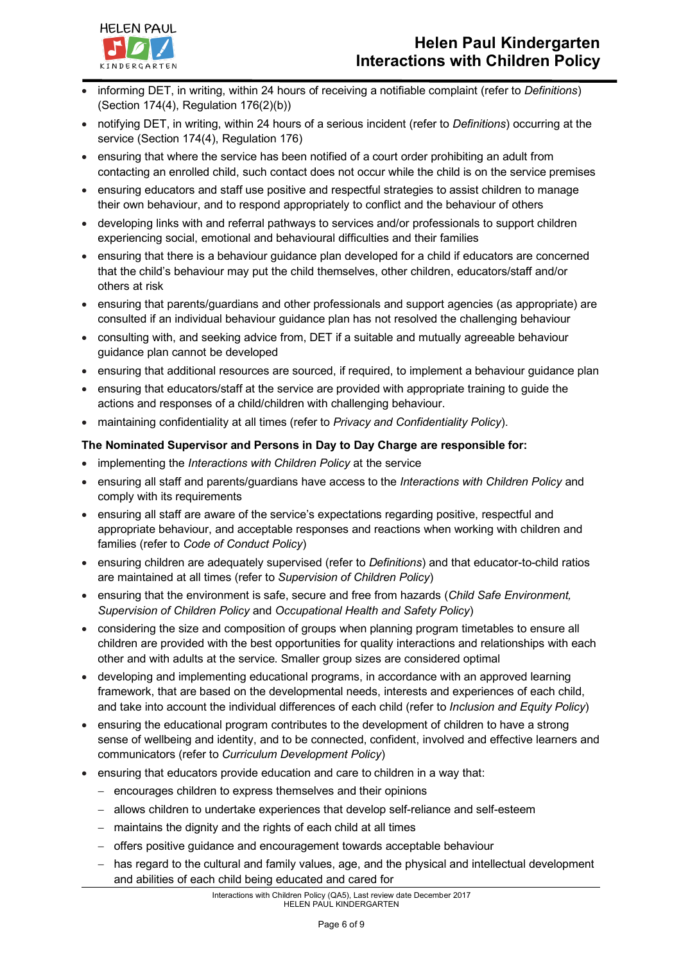

- informing DET, in writing, within 24 hours of receiving a notifiable complaint (refer to *Definitions*) (Section 174(4), Regulation 176(2)(b))
- notifying DET, in writing, within 24 hours of a serious incident (refer to *Definitions*) occurring at the service (Section 174(4), Regulation 176)
- ensuring that where the service has been notified of a court order prohibiting an adult from contacting an enrolled child, such contact does not occur while the child is on the service premises
- ensuring educators and staff use positive and respectful strategies to assist children to manage their own behaviour, and to respond appropriately to conflict and the behaviour of others
- developing links with and referral pathways to services and/or professionals to support children experiencing social, emotional and behavioural difficulties and their families
- ensuring that there is a behaviour guidance plan developed for a child if educators are concerned that the child's behaviour may put the child themselves, other children, educators/staff and/or others at risk
- ensuring that parents/guardians and other professionals and support agencies (as appropriate) are consulted if an individual behaviour guidance plan has not resolved the challenging behaviour
- consulting with, and seeking advice from, DET if a suitable and mutually agreeable behaviour guidance plan cannot be developed
- ensuring that additional resources are sourced, if required, to implement a behaviour guidance plan
- ensuring that educators/staff at the service are provided with appropriate training to guide the actions and responses of a child/children with challenging behaviour.
- maintaining confidentiality at all times (refer to *Privacy and Confidentiality Policy*).

#### **The Nominated Supervisor and Persons in Day to Day Charge are responsible for:**

- implementing the *Interactions with Children Policy* at the service
- ensuring all staff and parents/guardians have access to the *Interactions with Children Policy* and comply with its requirements
- ensuring all staff are aware of the service's expectations regarding positive, respectful and appropriate behaviour, and acceptable responses and reactions when working with children and families (refer to *Code of Conduct Policy*)
- ensuring children are adequately supervised (refer to *Definitions*) and that educator-to-child ratios are maintained at all times (refer to *Supervision of Children Policy*)
- ensuring that the environment is safe, secure and free from hazards (*Child Safe Environment, Supervision of Children Policy* and *Occupational Health and Safety Policy*)
- considering the size and composition of groups when planning program timetables to ensure all children are provided with the best opportunities for quality interactions and relationships with each other and with adults at the service. Smaller group sizes are considered optimal
- developing and implementing educational programs, in accordance with an approved learning framework, that are based on the developmental needs, interests and experiences of each child, and take into account the individual differences of each child (refer to *Inclusion and Equity Policy*)
- ensuring the educational program contributes to the development of children to have a strong sense of wellbeing and identity, and to be connected, confident, involved and effective learners and communicators (refer to *Curriculum Development Policy*)
- ensuring that educators provide education and care to children in a way that:
	- encourages children to express themselves and their opinions
	- allows children to undertake experiences that develop self-reliance and self-esteem
	- maintains the dignity and the rights of each child at all times
	- offers positive guidance and encouragement towards acceptable behaviour
	- has regard to the cultural and family values, age, and the physical and intellectual development and abilities of each child being educated and cared for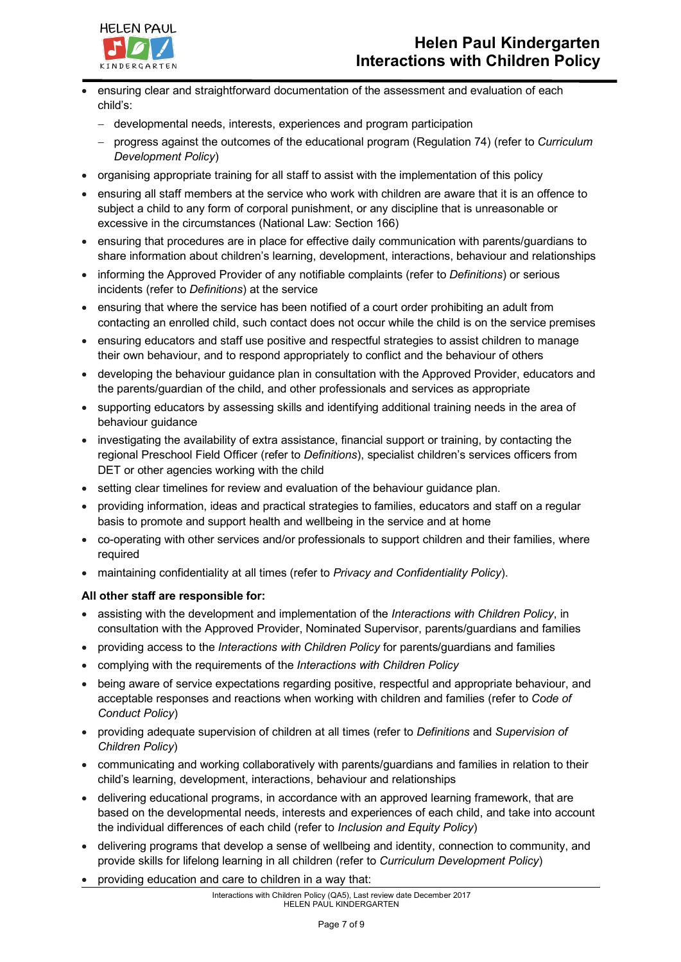

- ensuring clear and straightforward documentation of the assessment and evaluation of each child's:
	- developmental needs, interests, experiences and program participation
	- progress against the outcomes of the educational program (Regulation 74) (refer to *Curriculum Development Policy*)
- organising appropriate training for all staff to assist with the implementation of this policy
- ensuring all staff members at the service who work with children are aware that it is an offence to subject a child to any form of corporal punishment, or any discipline that is unreasonable or excessive in the circumstances (National Law: Section 166)
- ensuring that procedures are in place for effective daily communication with parents/guardians to share information about children's learning, development, interactions, behaviour and relationships
- informing the Approved Provider of any notifiable complaints (refer to *Definitions*) or serious incidents (refer to *Definitions*) at the service
- ensuring that where the service has been notified of a court order prohibiting an adult from contacting an enrolled child, such contact does not occur while the child is on the service premises
- ensuring educators and staff use positive and respectful strategies to assist children to manage their own behaviour, and to respond appropriately to conflict and the behaviour of others
- developing the behaviour guidance plan in consultation with the Approved Provider, educators and the parents/guardian of the child, and other professionals and services as appropriate
- supporting educators by assessing skills and identifying additional training needs in the area of behaviour guidance
- investigating the availability of extra assistance, financial support or training, by contacting the regional Preschool Field Officer (refer to *Definitions*), specialist children's services officers from DET or other agencies working with the child
- setting clear timelines for review and evaluation of the behaviour guidance plan.
- providing information, ideas and practical strategies to families, educators and staff on a regular basis to promote and support health and wellbeing in the service and at home
- co-operating with other services and/or professionals to support children and their families, where required
- maintaining confidentiality at all times (refer to *Privacy and Confidentiality Policy*).

#### **All other staff are responsible for:**

- assisting with the development and implementation of the *Interactions with Children Policy*, in consultation with the Approved Provider, Nominated Supervisor, parents/guardians and families
- providing access to the *Interactions with Children Policy* for parents/guardians and families
- complying with the requirements of the *Interactions with Children Policy*
- being aware of service expectations regarding positive, respectful and appropriate behaviour, and acceptable responses and reactions when working with children and families (refer to *Code of Conduct Policy*)
- providing adequate supervision of children at all times (refer to *Definitions* and *Supervision of Children Policy*)
- communicating and working collaboratively with parents/guardians and families in relation to their child's learning, development, interactions, behaviour and relationships
- delivering educational programs, in accordance with an approved learning framework, that are based on the developmental needs, interests and experiences of each child, and take into account the individual differences of each child (refer to *Inclusion and Equity Policy*)
- delivering programs that develop a sense of wellbeing and identity, connection to community, and provide skills for lifelong learning in all children (refer to *Curriculum Development Policy*)
- providing education and care to children in a way that: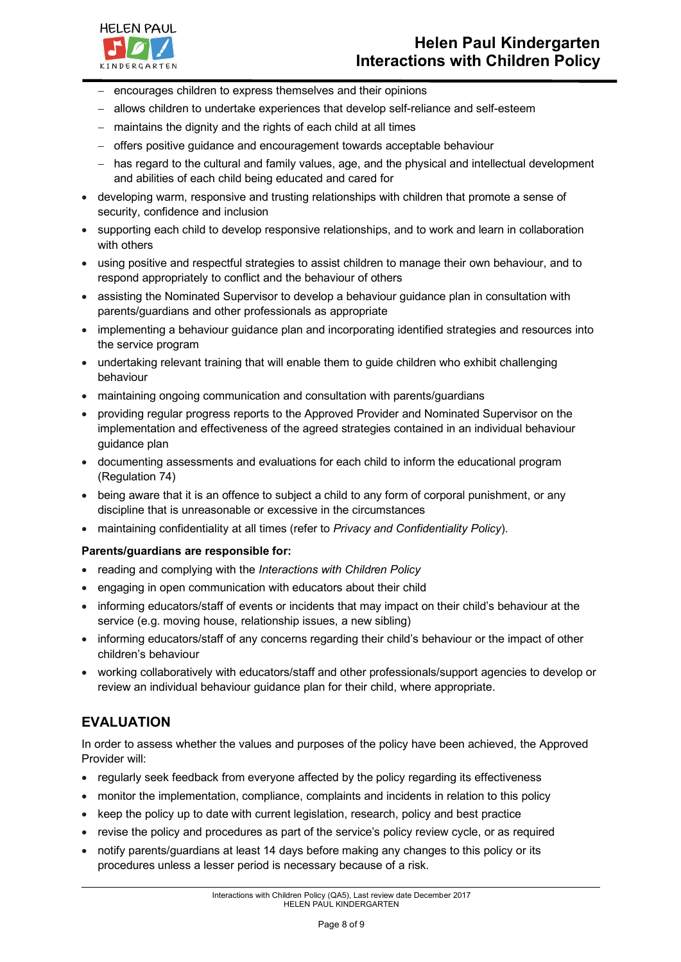

- encourages children to express themselves and their opinions
- allows children to undertake experiences that develop self-reliance and self-esteem
- maintains the dignity and the rights of each child at all times
- offers positive guidance and encouragement towards acceptable behaviour
- has regard to the cultural and family values, age, and the physical and intellectual development and abilities of each child being educated and cared for
- developing warm, responsive and trusting relationships with children that promote a sense of security, confidence and inclusion
- supporting each child to develop responsive relationships, and to work and learn in collaboration with others
- using positive and respectful strategies to assist children to manage their own behaviour, and to respond appropriately to conflict and the behaviour of others
- assisting the Nominated Supervisor to develop a behaviour guidance plan in consultation with parents/guardians and other professionals as appropriate
- implementing a behaviour guidance plan and incorporating identified strategies and resources into the service program
- undertaking relevant training that will enable them to guide children who exhibit challenging behaviour
- maintaining ongoing communication and consultation with parents/guardians
- providing regular progress reports to the Approved Provider and Nominated Supervisor on the implementation and effectiveness of the agreed strategies contained in an individual behaviour guidance plan
- documenting assessments and evaluations for each child to inform the educational program (Regulation 74)
- being aware that it is an offence to subject a child to any form of corporal punishment, or any discipline that is unreasonable or excessive in the circumstances
- maintaining confidentiality at all times (refer to *Privacy and Confidentiality Policy*).

#### **Parents/guardians are responsible for:**

- reading and complying with the *Interactions with Children Policy*
- engaging in open communication with educators about their child
- informing educators/staff of events or incidents that may impact on their child's behaviour at the service (e.g. moving house, relationship issues, a new sibling)
- informing educators/staff of any concerns regarding their child's behaviour or the impact of other children's behaviour
- working collaboratively with educators/staff and other professionals/support agencies to develop or review an individual behaviour guidance plan for their child, where appropriate.

## **EVALUATION**

In order to assess whether the values and purposes of the policy have been achieved, the Approved Provider will:

- regularly seek feedback from everyone affected by the policy regarding its effectiveness
- monitor the implementation, compliance, complaints and incidents in relation to this policy
- keep the policy up to date with current legislation, research, policy and best practice
- revise the policy and procedures as part of the service's policy review cycle, or as required
- notify parents/guardians at least 14 days before making any changes to this policy or its procedures unless a lesser period is necessary because of a risk.